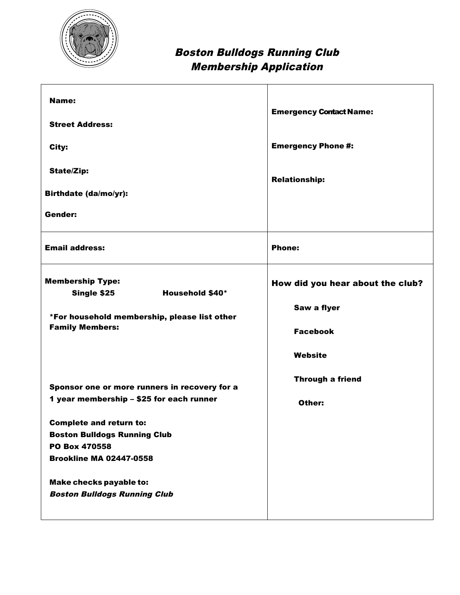

## Boston Bulldogs Running Club Membership Application

| Name:                                                                                                                                                                                                                 | <b>Emergency Contact Name:</b>                                                |
|-----------------------------------------------------------------------------------------------------------------------------------------------------------------------------------------------------------------------|-------------------------------------------------------------------------------|
| <b>Street Address:</b><br>City:                                                                                                                                                                                       | <b>Emergency Phone #:</b>                                                     |
| <b>State/Zip:</b><br><b>Birthdate (da/mo/yr):</b>                                                                                                                                                                     | <b>Relationship:</b>                                                          |
| <b>Gender:</b>                                                                                                                                                                                                        |                                                                               |
| <b>Email address:</b>                                                                                                                                                                                                 | <b>Phone:</b>                                                                 |
| <b>Membership Type:</b><br>Single \$25<br><b>Household \$40*</b><br>*For household membership, please list other<br><b>Family Members:</b>                                                                            | How did you hear about the club?<br>Saw a flyer<br><b>Facebook</b><br>Website |
| Sponsor one or more runners in recovery for a<br>1 year membership - \$25 for each runner<br><b>Complete and return to:</b><br><b>Boston Bulldogs Running Club</b><br>PO Box 470558<br><b>Brookline MA 02447-0558</b> | <b>Through a friend</b><br>Other:                                             |
| <b>Make checks payable to:</b><br><b>Boston Bulldogs Running Club</b>                                                                                                                                                 |                                                                               |